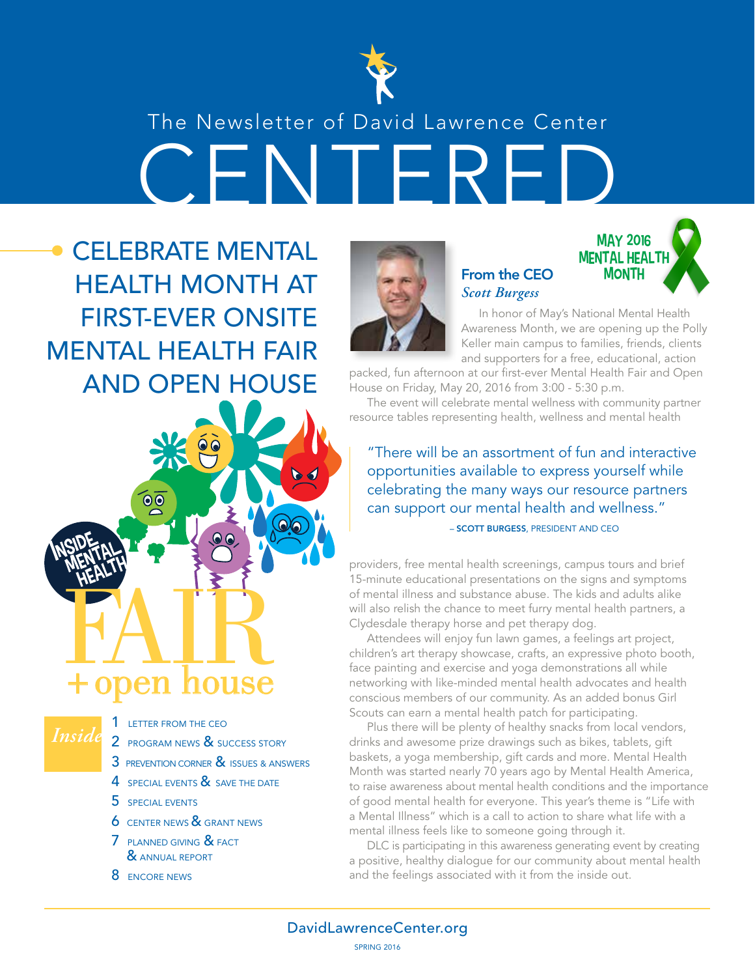

# The Newsletter of David Lawrence Center

CELEBRATE MENTAL HEALTH MONTH AT FIRST-EVER ONSITE MENTAL HEALTH FAIR AND OPEN HOUSE





**1** LETTER FROM THE CEO

- 2 PROGRAM NEWS & SUCCESS STORY
- 3 PREVENTION CORNER & ISSUES & ANSWERS
- 4 SPECIAL EVENTS & SAVE THE DATE
- 5 SPECIAL EVENTS
- **6** CENTER NEWS & GRANT NEWS
- 7 PLANNED GIVING & FACT & ANNUAL REPORT
- 8 ENCORE NEWS



# From the CEO *Scott Burgess*



In honor of May's National Mental Health Awareness Month, we are opening up the Polly Keller main campus to families, friends, clients and supporters for a free, educational, action

packed, fun afternoon at our first-ever Mental Health Fair and Open House on Friday, May 20, 2016 from 3:00 - 5:30 p.m.

The event will celebrate mental wellness with community partner resource tables representing health, wellness and mental health

"There will be an assortment of fun and interactive opportunities available to express yourself while celebrating the many ways our resource partners can support our mental health and wellness." – SCOTT BURGESS, PRESIDENT AND CEO

providers, free mental health screenings, campus tours and brief 15-minute educational presentations on the signs and symptoms of mental illness and substance abuse. The kids and adults alike will also relish the chance to meet furry mental health partners, a Clydesdale therapy horse and pet therapy dog.

Attendees will enjoy fun lawn games, a feelings art project, children's art therapy showcase, crafts, an expressive photo booth, face painting and exercise and yoga demonstrations all while networking with like-minded mental health advocates and health conscious members of our community. As an added bonus Girl Scouts can earn a mental health patch for participating.

Plus there will be plenty of healthy snacks from local vendors, drinks and awesome prize drawings such as bikes, tablets, gift baskets, a yoga membership, gift cards and more. Mental Health Month was started nearly 70 years ago by Mental Health America, to raise awareness about mental health conditions and the importance of good mental health for everyone. This year's theme is "Life with a Mental Illness" which is a call to action to share what life with a mental illness feels like to someone going through it.

DLC is participating in this awareness generating event by creating a positive, healthy dialogue for our community about mental health and the feelings associated with it from the inside out.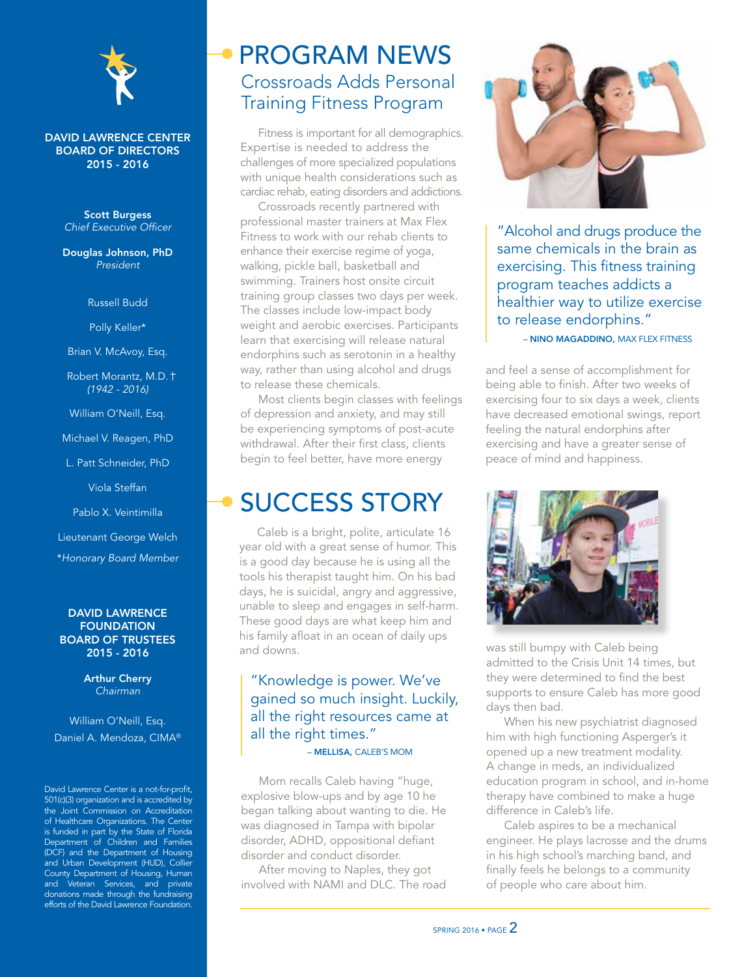

#### DAVID LAWRENCE CENTER BOARD OF DIRECTORS 2015 - 2016

Scott Burgess *Chief Executive Officer*

Douglas Johnson, PhD *President*

#### Russell Budd

Polly Keller\*

Brian V. McAvoy, Esq.

Robert Morantz, M.D. *(1942 - 2016)*

William O'Neill, Esq.

Michael V. Reagen, PhD

L. Patt Schneider, PhD

Viola Steffan

Pablo X. Veintimilla

Lieutenant George Welch

\**Honorary Board Member*

#### DAVID LAWRENCE **FOUNDATION** BOARD OF TRUSTEES 2015 - 2016

Arthur Cherry *Chairman*

William O'Neill, Esq. Daniel A. Mendoza, CIMA®

David Lawrence Center is a not-for-profit, 501(c)(3) organization and is accredited by the Joint Commission on Accreditation of Healthcare Organizations. The Center is funded in part by the State of Florida Department of Children and Families (DCF) and the Department of Housing and Urban Development (HUD), Collier County Department of Housing, Human and Veteran Services, and private donations made through the fundraising efforts of the David Lawrence Foundation.

# Crossroads Adds Personal Training Fitness Program PROGRAM NEWS

Fitness is important for all demographics. Expertise is needed to address the challenges of more specialized populations with unique health considerations such as cardiac rehab, eating disorders and addictions.

Crossroads recently partnered with professional master trainers at Max Flex Fitness to work with our rehab clients to enhance their exercise regime of yoga, walking, pickle ball, basketball and swimming. Trainers host onsite circuit training group classes two days per week. The classes include low-impact body weight and aerobic exercises. Participants learn that exercising will release natural endorphins such as serotonin in a healthy way, rather than using alcohol and drugs to release these chemicals.

Most clients begin classes with feelings of depression and anxiety, and may still be experiencing symptoms of post-acute withdrawal. After their first class, clients begin to feel better, have more energy

# SUCCESS STORY

Caleb is a bright, polite, articulate 16 year old with a great sense of humor. This is a good day because he is using all the tools his therapist taught him. On his bad days, he is suicidal, angry and aggressive, unable to sleep and engages in self-harm. These good days are what keep him and his family afloat in an ocean of daily ups and downs.

## "Knowledge is power. We've gained so much insight. Luckily, all the right resources came at all the right times." – MELLISA, CALEB'S MOM

Mom recalls Caleb having "huge, explosive blow-ups and by age 10 he began talking about wanting to die. He was diagnosed in Tampa with bipolar disorder, ADHD, oppositional defiant disorder and conduct disorder.

After moving to Naples, they got involved with NAMI and DLC. The road



"Alcohol and drugs produce the same chemicals in the brain as exercising. This fitness training program teaches addicts a healthier way to utilize exercise to release endorphins."

– NINO MAGADDINO, MAX FLEX FITNESS

and feel a sense of accomplishment for being able to finish. After two weeks of exercising four to six days a week, clients have decreased emotional swings, report feeling the natural endorphins after exercising and have a greater sense of peace of mind and happiness.



was still bumpy with Caleb being admitted to the Crisis Unit 14 times, but they were determined to find the best supports to ensure Caleb has more good days then bad.

When his new psychiatrist diagnosed him with high functioning Asperger's it opened up a new treatment modality. A change in meds, an individualized education program in school, and in-home therapy have combined to make a huge difference in Caleb's life.

Caleb aspires to be a mechanical engineer. He plays lacrosse and the drums in his high school's marching band, and finally feels he belongs to a community of people who care about him.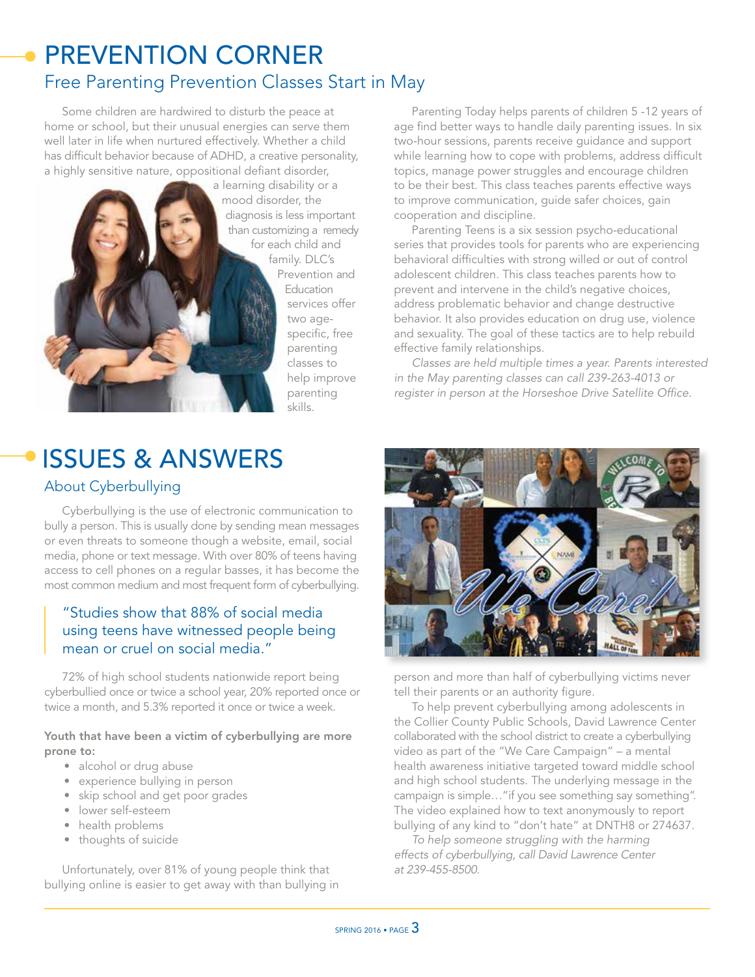# PREVENTION CORNER Free Parenting Prevention Classes Start in May

Some children are hardwired to disturb the peace at home or school, but their unusual energies can serve them well later in life when nurtured effectively. Whether a child has difficult behavior because of ADHD, a creative personality, a highly sensitive nature, oppositional defiant disorder,



Prevention and services offer specific, free parenting classes to help improve parenting

Parenting Today helps parents of children 5 -12 years of age find better ways to handle daily parenting issues. In six two-hour sessions, parents receive guidance and support while learning how to cope with problems, address difficult topics, manage power struggles and encourage children to be their best. This class teaches parents effective ways to improve communication, guide safer choices, gain cooperation and discipline.

Parenting Teens is a six session psycho-educational series that provides tools for parents who are experiencing behavioral difficulties with strong willed or out of control adolescent children. This class teaches parents how to prevent and intervene in the child's negative choices, address problematic behavior and change destructive behavior. It also provides education on drug use, violence and sexuality. The goal of these tactics are to help rebuild effective family relationships.

*Classes are held multiple times a year. Parents interested in the May parenting classes can call 239-263-4013 or register in person at the Horseshoe Drive Satellite Office.*

# ISSUES & ANSWERS

## About Cyberbullying

Cyberbullying is the use of electronic communication to bully a person. This is usually done by sending mean messages or even threats to someone though a website, email, social media, phone or text message. With over 80% of teens having access to cell phones on a regular basses, it has become the most common medium and most frequent form of cyberbullying.

## "Studies show that 88% of social media using teens have witnessed people being mean or cruel on social media."

72% of high school students nationwide report being cyberbullied once or twice a school year, 20% reported once or twice a month, and 5.3% reported it once or twice a week.

### Youth that have been a victim of cyberbullying are more prone to:

- alcohol or drug abuse
- experience bullying in person
- skip school and get poor grades
- lower self-esteem
- health problems
- thoughts of suicide

Unfortunately, over 81% of young people think that bullying online is easier to get away with than bullying in



person and more than half of cyberbullying victims never tell their parents or an authority figure.

To help prevent cyberbullying among adolescents in the Collier County Public Schools, David Lawrence Center collaborated with the school district to create a cyberbullying video as part of the "We Care Campaign" – a mental health awareness initiative targeted toward middle school and high school students. The underlying message in the campaign is simple..."if you see something say something". The video explained how to text anonymously to report bullying of any kind to "don't hate" at DNTH8 or 274637.

*To help someone struggling with the harming effects of cyberbullying, call David Lawrence Center at 239-455-8500.*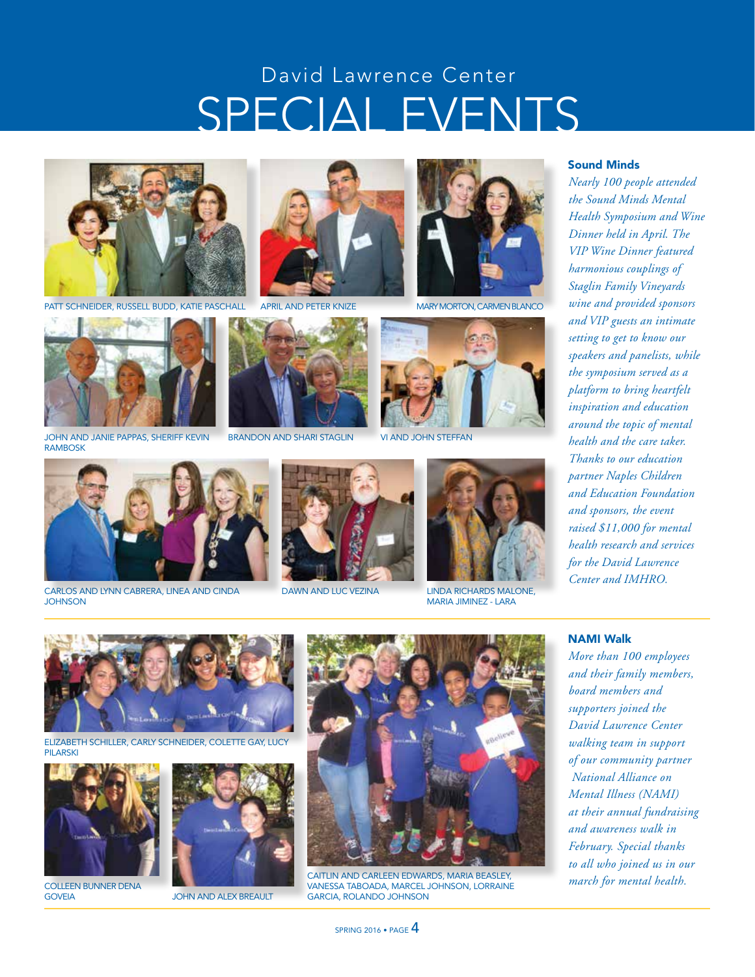# SPECIAL EVENTS David Lawrence Center



HNEIDER, RUSSELL BUDD, KATIE PASCHALL



JOHN AND JANIE PAPPAS, SHERIFF KEVIN RAMBOSK







DAWN AND LUC VEZINA LINDA RICHARDS MALONE, MARIA JIMINEZ - LARA

#### Sound Minds

*Nearly 100 people attended the Sound Minds Mental Health Symposium and Wine Dinner held in April. The VIP Wine Dinner featured harmonious couplings of Staglin Family Vineyards wine and provided sponsors and VIP guests an intimate setting to get to know our speakers and panelists, while the symposium served as a platform to bring heartfelt inspiration and education around the topic of mental health and the care taker. Thanks to our education partner Naples Children and Education Foundation and sponsors, the event raised \$11,000 for mental health research and services for the David Lawrence Center and IMHRO.*



CARLOS AND LYNN CABRERA, LINEA AND CINDA **JOHNSON** 



NAMI Walk

*More than 100 employees and their family members, board members and supporters joined the David Lawrence Center walking team in support of our community partner National Alliance on Mental Illness (NAMI) at their annual fundraising and awareness walk in February. Special thanks to all who joined us in our march for mental health.*



ELIZABETH SCHILLER, CARLY SCHNEIDER, COLETTE GAY, LUCY **PILARSK** 



COLLEEN BUNNER DENA<br>GOVEIA



JOHN AND ALEX BREAULT



CAITLIN AND CARLEEN EDWARDS, MARIA BEASLEY, VANESSA TABOADA, MARCEL JOHNSON, LORRAINE GARCIA, ROLANDO JOHNSON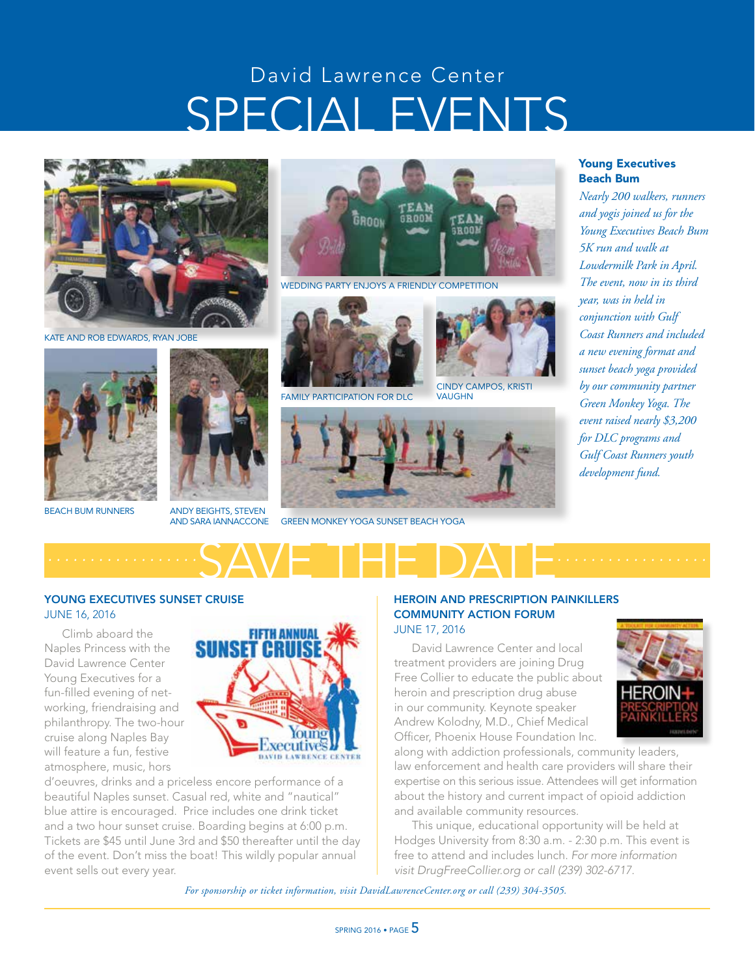# SPECIAL EVENTS David Lawrence Center



KATE AND ROB EDWARDS, RYAN JOBE



BEACH BUM RUNNERS



ANDY BEIGHTS, STEVEN AND SARA IANNACCONE



WEDDING PARTY ENJOYS A FRIENDLY COMPETITION



FAMILY PARTICIPATION FOR DLC



GREEN MONKEY YOGA SUNSET BEACH YOGA

#### Young Executives Beach Bum

*Nearly 200 walkers, runners and yogis joined us for the Young Executives Beach Bum 5K run and walk at Lowdermilk Park in April. The event, now in its third year, was in held in conjunction with Gulf Coast Runners and included a new evening format and sunset beach yoga provided by our community partner Green Monkey Yoga. The event raised nearly \$3,200 for DLC programs and Gulf Coast Runners youth development fund.*

SAVE THE DATE *.................. ..................*

## YOUNG EXECUTIVES SUNSET CRUISE JUNE 16, 2016

Naples Princess with the David Lawrence Center Young Executives for a fun-filled evening of networking, friendraising and philanthropy. The two-hour cruise along Naples Bay will feature a fun, festive atmosphere, music, hors



d'oeuvres, drinks and a priceless encore performance of a beautiful Naples sunset. Casual red, white and "nautical" blue attire is encouraged. Price includes one drink ticket and a two hour sunset cruise. Boarding begins at 6:00 p.m. Tickets are \$45 until June 3rd and \$50 thereafter until the day of the event. Don't miss the boat! This wildly popular annual event sells out every year.

# HEROIN AND PRESCRIPTION PAINKILLERS COMMUNITY ACTION FORUM

**CINDY CAMPOS, KRIST** 

VAUGHN

David Lawrence Center and local treatment providers are joining Drug Free Collier to educate the public about heroin and prescription drug abuse in our community. Keynote speaker Andrew Kolodny, M.D., Chief Medical Officer, Phoenix House Foundation Inc.



along with addiction professionals, community leaders, law enforcement and health care providers will share their expertise on this serious issue. Attendees will get information about the history and current impact of opioid addiction and available community resources.

This unique, educational opportunity will be held at Hodges University from 8:30 a.m. - 2:30 p.m. This event is free to attend and includes lunch. *For more information visit DrugFreeCollier.org or call (239) 302-6717.*

*For sponsorship or ticket information, visit DavidLawrenceCenter.org or call (239) 304-3505.*

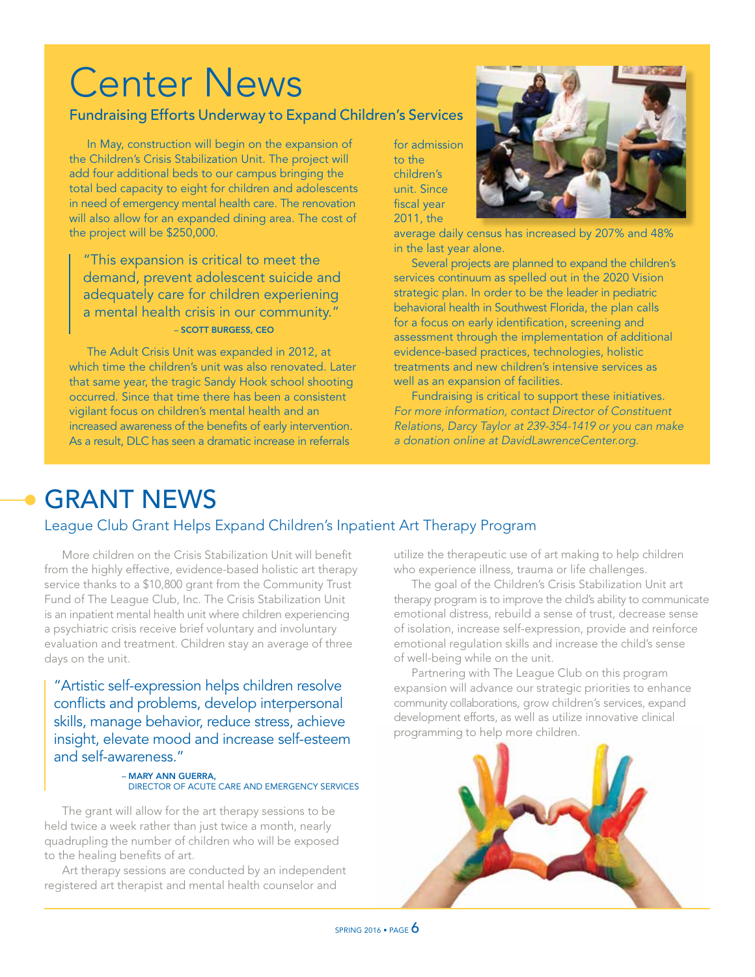# Center News

# Fundraising Efforts Underway to Expand Children's Services

In May, construction will begin on the expansion of the Children's Crisis Stabilization Unit. The project will add four additional beds to our campus bringing the total bed capacity to eight for children and adolescents in need of emergency mental health care. The renovation will also allow for an expanded dining area. The cost of the project will be \$250,000.

"This expansion is critical to meet the demand, prevent adolescent suicide and adequately care for children experiening a mental health crisis in our community.' – SCOTT BURGESS, CEO

The Adult Crisis Unit was expanded in 2012, at which time the children's unit was also renovated. Later that same year, the tragic Sandy Hook school shooting occurred. Since that time there has been a consistent vigilant focus on children's mental health and an increased awareness of the benefits of early intervention. As a result, DLC has seen a dramatic increase in referrals

for admission to the children's unit. Since fiscal year 2011, the



average daily census has increased by 207% and 48% in the last year alone.

Several projects are planned to expand the children's services continuum as spelled out in the 2020 Vision strategic plan. In order to be the leader in pediatric behavioral health in Southwest Florida, the plan calls for a focus on early identification, screening and assessment through the implementation of additional evidence-based practices, technologies, holistic treatments and new children's intensive services as well as an expansion of facilities.

Fundraising is critical to support these initiatives. *For more information, contact Director of Constituent Relations, Darcy Taylor at 239-354-1419 or you can make a donation online at DavidLawrenceCenter.org.*

# GRANT NEWS

## League Club Grant Helps Expand Children's Inpatient Art Therapy Program

More children on the Crisis Stabilization Unit will benefit from the highly effective, evidence-based holistic art therapy service thanks to a \$10,800 grant from the Community Trust Fund of The League Club, Inc. The Crisis Stabilization Unit is an inpatient mental health unit where children experiencing a psychiatric crisis receive brief voluntary and involuntary evaluation and treatment. Children stay an average of three days on the unit.

"Artistic self-expression helps children resolve conflicts and problems, develop interpersonal skills, manage behavior, reduce stress, achieve insight, elevate mood and increase self-esteem and self-awareness."

> – MARY ANN GUERRA, DIRECTOR OF ACUTE CARE AND EMERGENCY SERVICES

The grant will allow for the art therapy sessions to be held twice a week rather than just twice a month, nearly quadrupling the number of children who will be exposed to the healing benefits of art.

Art therapy sessions are conducted by an independent registered art therapist and mental health counselor and

utilize the therapeutic use of art making to help children who experience illness, trauma or life challenges.

The goal of the Children's Crisis Stabilization Unit art therapy program is to improve the child's ability to communicate emotional distress, rebuild a sense of trust, decrease sense of isolation, increase self-expression, provide and reinforce emotional regulation skills and increase the child's sense of well-being while on the unit.

Partnering with The League Club on this program expansion will advance our strategic priorities to enhance community collaborations, grow children's services, expand development efforts, as well as utilize innovative clinical programming to help more children.

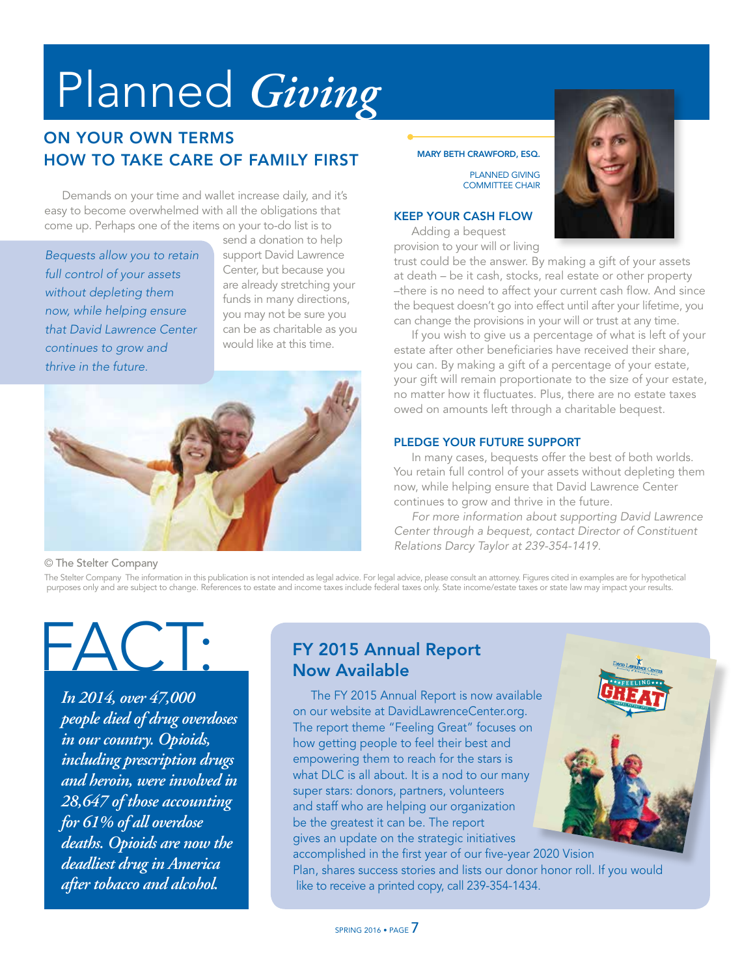# Planned *Giving*

# ON YOUR OWN TERMS HOW TO TAKE CARE OF FAMILY FIRST MARY BETH CRAWFORD, ESQ.

Demands on your time and wallet increase daily, and it's easy to become overwhelmed with all the obligations that come up. Perhaps one of the items on your to-do list is to

*Bequests allow you to retain full control of your assets without depleting them now, while helping ensure that David Lawrence Center continues to grow and thrive in the future.*

send a donation to help support David Lawrence Center, but because you are already stretching your funds in many directions, you may not be sure you can be as charitable as you would like at this time.



#### © The Stelter Company

PLANNED GIVING COMMITTEE CHAIR

### KEEP YOUR CASH FLOW

Adding a bequest provision to your will or living



trust could be the answer. By making a gift of your assets at death – be it cash, stocks, real estate or other property –there is no need to affect your current cash flow. And since the bequest doesn't go into effect until after your lifetime, you can change the provisions in your will or trust at any time.

If you wish to give us a percentage of what is left of your estate after other beneficiaries have received their share, you can. By making a gift of a percentage of your estate, your gift will remain proportionate to the size of your estate, no matter how it fluctuates. Plus, there are no estate taxes owed on amounts left through a charitable bequest.

#### PLEDGE YOUR FUTURE SUPPORT

In many cases, bequests offer the best of both worlds. You retain full control of your assets without depleting them now, while helping ensure that David Lawrence Center continues to grow and thrive in the future.

*For more information about supporting David Lawrence Center through a bequest, contact Director of Constituent Relations Darcy Taylor at 239-354-1419.*

ANNUAL REPORT 2015

The Stelter Company The information in this publication is not intended as legal advice. For legal advice, please consult an attorney. Figures cited in examples are for hypothetical purposes only and are subject to change. References to estate and income taxes include federal taxes only. State income/estate taxes or state law may impact your results.

# FACT:

*In 2014, over 47,000 people died of drug overdoses in our country. Opioids, including prescription drugs and heroin, were involved in 28,647 of those accounting for 61% of all overdose deaths. Opioids are now the deadliest drug in America after tobacco and alcohol.*

# FY 2015 Annual Report Now Available

GREAT The FY 2015 Annual Report is now available on our website at DavidLawrenceCenter.org. The report theme "Feeling Great" focuses on how getting people to feel their best and empowering them to reach for the stars is what DLC is all about. It is a nod to our many super stars: donors, partners, volunteers and staff who are helping our organization be the greatest it can be. The report gives an update on the strategic initiatives accomplished in the first year of our five-year 2020 Vision Plan, shares success stories and lists our donor honor roll. If you would

like to receive a printed copy, call 239-354-1434.